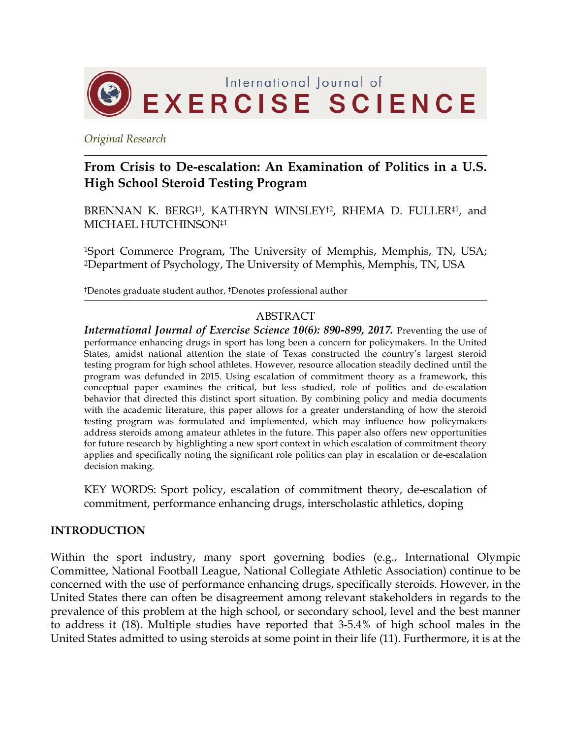

*Original Research*

# **From Crisis to De-escalation: An Examination of Politics in a U.S. High School Steroid Testing Program**

BRENNAN K. BERG<sup>‡1</sup>, KATHRYN WINSLEY<sup>†2</sup>, RHEMA D. FULLER<sup>‡1</sup>, and MICHAEL HUTCHINSON‡1

1Sport Commerce Program, The University of Memphis, Memphis, TN, USA; 2Department of Psychology, The University of Memphis, Memphis, TN, USA

†Denotes graduate student author, ‡Denotes professional author

#### ABSTRACT

*International Journal of Exercise Science 10(6): 890-899, 2017.* Preventing the use of performance enhancing drugs in sport has long been a concern for policymakers. In the United States, amidst national attention the state of Texas constructed the country's largest steroid testing program for high school athletes. However, resource allocation steadily declined until the program was defunded in 2015. Using escalation of commitment theory as a framework, this conceptual paper examines the critical, but less studied, role of politics and de-escalation behavior that directed this distinct sport situation. By combining policy and media documents with the academic literature, this paper allows for a greater understanding of how the steroid testing program was formulated and implemented, which may influence how policymakers address steroids among amateur athletes in the future. This paper also offers new opportunities for future research by highlighting a new sport context in which escalation of commitment theory applies and specifically noting the significant role politics can play in escalation or de-escalation decision making.

KEY WORDS: Sport policy, escalation of commitment theory, de-escalation of commitment, performance enhancing drugs, interscholastic athletics, doping

#### **INTRODUCTION**

Within the sport industry, many sport governing bodies (e.g., International Olympic Committee, National Football League, National Collegiate Athletic Association) continue to be concerned with the use of performance enhancing drugs, specifically steroids. However, in the United States there can often be disagreement among relevant stakeholders in regards to the prevalence of this problem at the high school, or secondary school, level and the best manner to address it (18). Multiple studies have reported that 3-5.4% of high school males in the United States admitted to using steroids at some point in their life (11). Furthermore, it is at the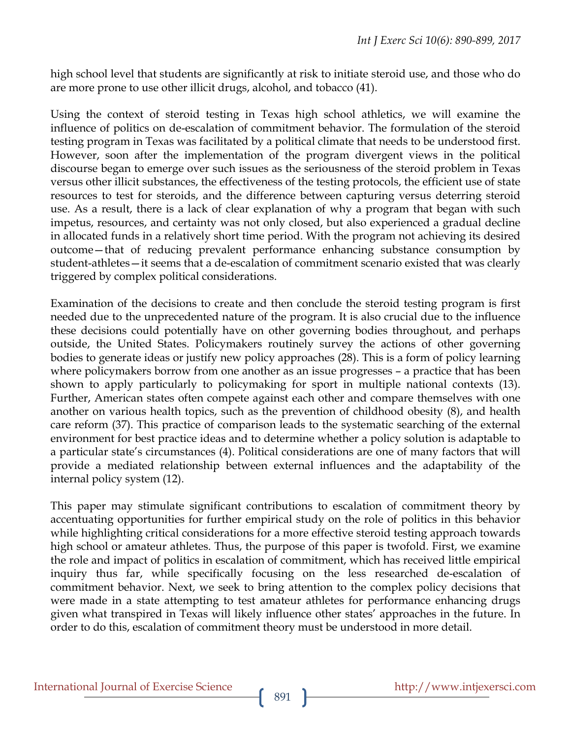high school level that students are significantly at risk to initiate steroid use, and those who do are more prone to use other illicit drugs, alcohol, and tobacco (41).

Using the context of steroid testing in Texas high school athletics, we will examine the influence of politics on de-escalation of commitment behavior. The formulation of the steroid testing program in Texas was facilitated by a political climate that needs to be understood first. However, soon after the implementation of the program divergent views in the political discourse began to emerge over such issues as the seriousness of the steroid problem in Texas versus other illicit substances, the effectiveness of the testing protocols, the efficient use of state resources to test for steroids, and the difference between capturing versus deterring steroid use. As a result, there is a lack of clear explanation of why a program that began with such impetus, resources, and certainty was not only closed, but also experienced a gradual decline in allocated funds in a relatively short time period. With the program not achieving its desired outcome—that of reducing prevalent performance enhancing substance consumption by student-athletes—it seems that a de-escalation of commitment scenario existed that was clearly triggered by complex political considerations.

Examination of the decisions to create and then conclude the steroid testing program is first needed due to the unprecedented nature of the program. It is also crucial due to the influence these decisions could potentially have on other governing bodies throughout, and perhaps outside, the United States. Policymakers routinely survey the actions of other governing bodies to generate ideas or justify new policy approaches (28). This is a form of policy learning where policymakers borrow from one another as an issue progresses – a practice that has been shown to apply particularly to policymaking for sport in multiple national contexts (13). Further, American states often compete against each other and compare themselves with one another on various health topics, such as the prevention of childhood obesity (8), and health care reform (37). This practice of comparison leads to the systematic searching of the external environment for best practice ideas and to determine whether a policy solution is adaptable to a particular state's circumstances (4). Political considerations are one of many factors that will provide a mediated relationship between external influences and the adaptability of the internal policy system (12).

This paper may stimulate significant contributions to escalation of commitment theory by accentuating opportunities for further empirical study on the role of politics in this behavior while highlighting critical considerations for a more effective steroid testing approach towards high school or amateur athletes. Thus, the purpose of this paper is twofold. First, we examine the role and impact of politics in escalation of commitment, which has received little empirical inquiry thus far, while specifically focusing on the less researched de-escalation of commitment behavior. Next, we seek to bring attention to the complex policy decisions that were made in a state attempting to test amateur athletes for performance enhancing drugs given what transpired in Texas will likely influence other states' approaches in the future. In order to do this, escalation of commitment theory must be understood in more detail.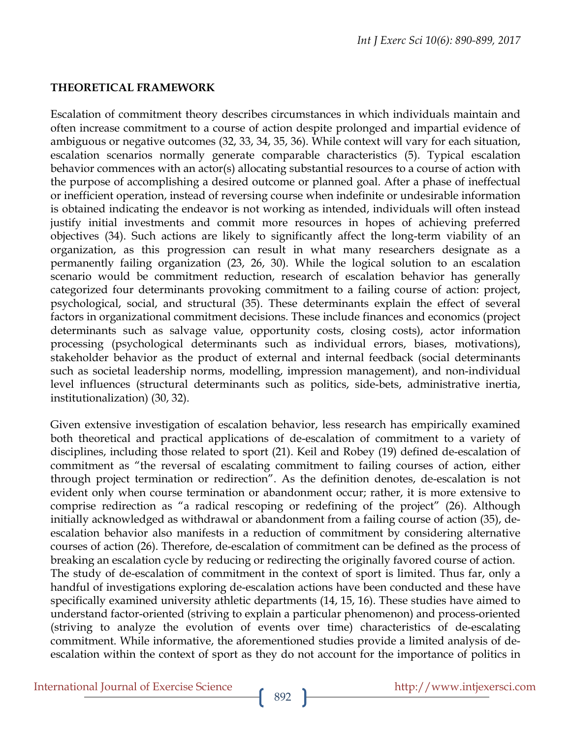## **THEORETICAL FRAMEWORK**

Escalation of commitment theory describes circumstances in which individuals maintain and often increase commitment to a course of action despite prolonged and impartial evidence of ambiguous or negative outcomes (32, 33, 34, 35, 36). While context will vary for each situation, escalation scenarios normally generate comparable characteristics (5). Typical escalation behavior commences with an actor(s) allocating substantial resources to a course of action with the purpose of accomplishing a desired outcome or planned goal. After a phase of ineffectual or inefficient operation, instead of reversing course when indefinite or undesirable information is obtained indicating the endeavor is not working as intended, individuals will often instead justify initial investments and commit more resources in hopes of achieving preferred objectives (34). Such actions are likely to significantly affect the long-term viability of an organization, as this progression can result in what many researchers designate as a permanently failing organization (23, 26, 30). While the logical solution to an escalation scenario would be commitment reduction, research of escalation behavior has generally categorized four determinants provoking commitment to a failing course of action: project, psychological, social, and structural (35). These determinants explain the effect of several factors in organizational commitment decisions. These include finances and economics (project determinants such as salvage value, opportunity costs, closing costs), actor information processing (psychological determinants such as individual errors, biases, motivations), stakeholder behavior as the product of external and internal feedback (social determinants such as societal leadership norms, modelling, impression management), and non-individual level influences (structural determinants such as politics, side-bets, administrative inertia, institutionalization) (30, 32).

Given extensive investigation of escalation behavior, less research has empirically examined both theoretical and practical applications of de-escalation of commitment to a variety of disciplines, including those related to sport (21). Keil and Robey (19) defined de-escalation of commitment as "the reversal of escalating commitment to failing courses of action, either through project termination or redirection". As the definition denotes, de-escalation is not evident only when course termination or abandonment occur; rather, it is more extensive to comprise redirection as "a radical rescoping or redefining of the project" (26). Although initially acknowledged as withdrawal or abandonment from a failing course of action (35), deescalation behavior also manifests in a reduction of commitment by considering alternative courses of action (26). Therefore, de-escalation of commitment can be defined as the process of breaking an escalation cycle by reducing or redirecting the originally favored course of action. The study of de-escalation of commitment in the context of sport is limited. Thus far, only a handful of investigations exploring de-escalation actions have been conducted and these have specifically examined university athletic departments (14, 15, 16). These studies have aimed to understand factor-oriented (striving to explain a particular phenomenon) and process-oriented (striving to analyze the evolution of events over time) characteristics of de-escalating commitment. While informative, the aforementioned studies provide a limited analysis of deescalation within the context of sport as they do not account for the importance of politics in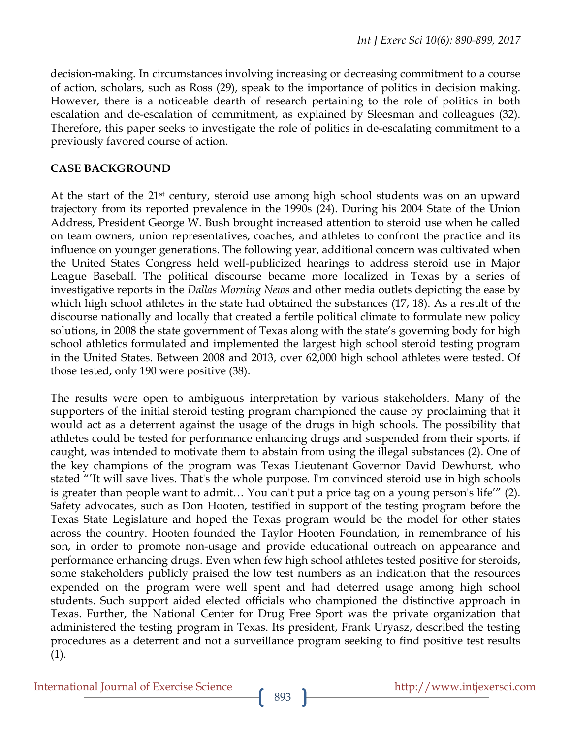decision-making. In circumstances involving increasing or decreasing commitment to a course of action, scholars, such as Ross (29), speak to the importance of politics in decision making. However, there is a noticeable dearth of research pertaining to the role of politics in both escalation and de-escalation of commitment, as explained by Sleesman and colleagues (32). Therefore, this paper seeks to investigate the role of politics in de-escalating commitment to a previously favored course of action.

#### **CASE BACKGROUND**

At the start of the 21<sup>st</sup> century, steroid use among high school students was on an upward trajectory from its reported prevalence in the 1990s (24). During his 2004 State of the Union Address, President George W. Bush brought increased attention to steroid use when he called on team owners, union representatives, coaches, and athletes to confront the practice and its influence on younger generations. The following year, additional concern was cultivated when the United States Congress held well-publicized hearings to address steroid use in Major League Baseball. The political discourse became more localized in Texas by a series of investigative reports in the *Dallas Morning News* and other media outlets depicting the ease by which high school athletes in the state had obtained the substances (17, 18). As a result of the discourse nationally and locally that created a fertile political climate to formulate new policy solutions, in 2008 the state government of Texas along with the state's governing body for high school athletics formulated and implemented the largest high school steroid testing program in the United States. Between 2008 and 2013, over 62,000 high school athletes were tested. Of those tested, only 190 were positive (38).

The results were open to ambiguous interpretation by various stakeholders. Many of the supporters of the initial steroid testing program championed the cause by proclaiming that it would act as a deterrent against the usage of the drugs in high schools. The possibility that athletes could be tested for performance enhancing drugs and suspended from their sports, if caught, was intended to motivate them to abstain from using the illegal substances (2). One of the key champions of the program was Texas Lieutenant Governor David Dewhurst, who stated "'It will save lives. That's the whole purpose. I'm convinced steroid use in high schools is greater than people want to admit… You can't put a price tag on a young person's life'" (2). Safety advocates, such as Don Hooten, testified in support of the testing program before the Texas State Legislature and hoped the Texas program would be the model for other states across the country. Hooten founded the Taylor Hooten Foundation, in remembrance of his son, in order to promote non-usage and provide educational outreach on appearance and performance enhancing drugs. Even when few high school athletes tested positive for steroids, some stakeholders publicly praised the low test numbers as an indication that the resources expended on the program were well spent and had deterred usage among high school students. Such support aided elected officials who championed the distinctive approach in Texas. Further, the National Center for Drug Free Sport was the private organization that administered the testing program in Texas. Its president, Frank Uryasz, described the testing procedures as a deterrent and not a surveillance program seeking to find positive test results (1).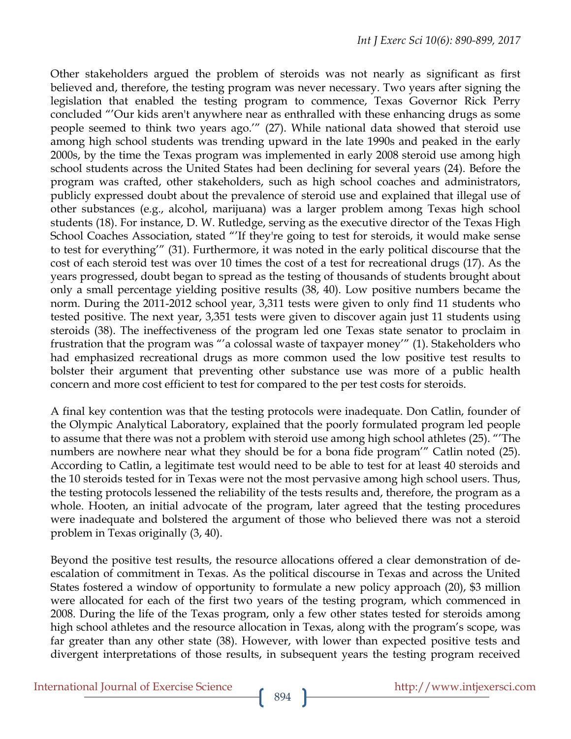Other stakeholders argued the problem of steroids was not nearly as significant as first believed and, therefore, the testing program was never necessary. Two years after signing the legislation that enabled the testing program to commence, Texas Governor Rick Perry concluded "'Our kids aren't anywhere near as enthralled with these enhancing drugs as some people seemed to think two years ago.'" (27). While national data showed that steroid use among high school students was trending upward in the late 1990s and peaked in the early 2000s, by the time the Texas program was implemented in early 2008 steroid use among high school students across the United States had been declining for several years (24). Before the program was crafted, other stakeholders, such as high school coaches and administrators, publicly expressed doubt about the prevalence of steroid use and explained that illegal use of other substances (e.g., alcohol, marijuana) was a larger problem among Texas high school students (18). For instance, D. W. Rutledge, serving as the executive director of the Texas High School Coaches Association, stated "'If they're going to test for steroids, it would make sense to test for everything'" (31). Furthermore, it was noted in the early political discourse that the cost of each steroid test was over 10 times the cost of a test for recreational drugs (17). As the years progressed, doubt began to spread as the testing of thousands of students brought about only a small percentage yielding positive results (38, 40). Low positive numbers became the norm. During the 2011-2012 school year, 3,311 tests were given to only find 11 students who tested positive. The next year, 3,351 tests were given to discover again just 11 students using steroids (38). The ineffectiveness of the program led one Texas state senator to proclaim in frustration that the program was "'a colossal waste of taxpayer money'" (1). Stakeholders who had emphasized recreational drugs as more common used the low positive test results to bolster their argument that preventing other substance use was more of a public health concern and more cost efficient to test for compared to the per test costs for steroids.

A final key contention was that the testing protocols were inadequate. Don Catlin, founder of the Olympic Analytical Laboratory, explained that the poorly formulated program led people to assume that there was not a problem with steroid use among high school athletes (25). "'The numbers are nowhere near what they should be for a bona fide program'" Catlin noted (25). According to Catlin, a legitimate test would need to be able to test for at least 40 steroids and the 10 steroids tested for in Texas were not the most pervasive among high school users. Thus, the testing protocols lessened the reliability of the tests results and, therefore, the program as a whole. Hooten, an initial advocate of the program, later agreed that the testing procedures were inadequate and bolstered the argument of those who believed there was not a steroid problem in Texas originally (3, 40).

Beyond the positive test results, the resource allocations offered a clear demonstration of deescalation of commitment in Texas. As the political discourse in Texas and across the United States fostered a window of opportunity to formulate a new policy approach (20), \$3 million were allocated for each of the first two years of the testing program, which commenced in 2008. During the life of the Texas program, only a few other states tested for steroids among high school athletes and the resource allocation in Texas, along with the program's scope, was far greater than any other state (38). However, with lower than expected positive tests and divergent interpretations of those results, in subsequent years the testing program received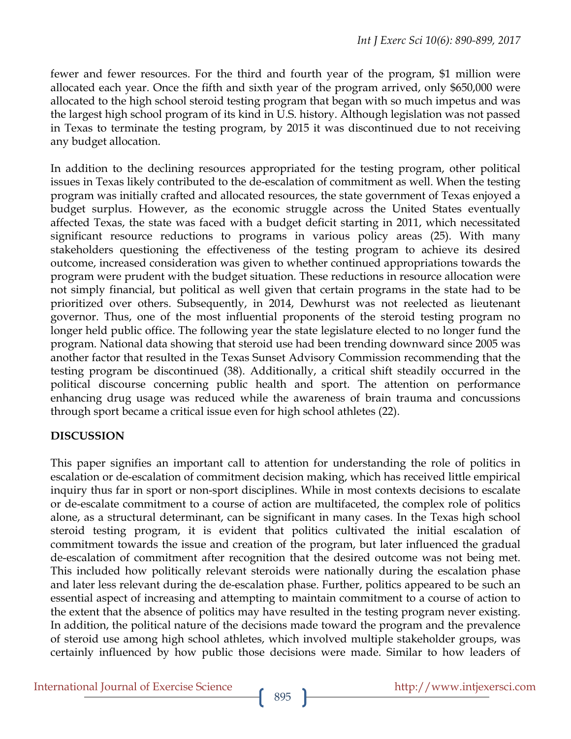fewer and fewer resources. For the third and fourth year of the program, \$1 million were allocated each year. Once the fifth and sixth year of the program arrived, only \$650,000 were allocated to the high school steroid testing program that began with so much impetus and was the largest high school program of its kind in U.S. history. Although legislation was not passed in Texas to terminate the testing program, by 2015 it was discontinued due to not receiving any budget allocation.

In addition to the declining resources appropriated for the testing program, other political issues in Texas likely contributed to the de-escalation of commitment as well. When the testing program was initially crafted and allocated resources, the state government of Texas enjoyed a budget surplus. However, as the economic struggle across the United States eventually affected Texas, the state was faced with a budget deficit starting in 2011, which necessitated significant resource reductions to programs in various policy areas (25). With many stakeholders questioning the effectiveness of the testing program to achieve its desired outcome, increased consideration was given to whether continued appropriations towards the program were prudent with the budget situation. These reductions in resource allocation were not simply financial, but political as well given that certain programs in the state had to be prioritized over others. Subsequently, in 2014, Dewhurst was not reelected as lieutenant governor. Thus, one of the most influential proponents of the steroid testing program no longer held public office. The following year the state legislature elected to no longer fund the program. National data showing that steroid use had been trending downward since 2005 was another factor that resulted in the Texas Sunset Advisory Commission recommending that the testing program be discontinued (38). Additionally, a critical shift steadily occurred in the political discourse concerning public health and sport. The attention on performance enhancing drug usage was reduced while the awareness of brain trauma and concussions through sport became a critical issue even for high school athletes (22).

## **DISCUSSION**

This paper signifies an important call to attention for understanding the role of politics in escalation or de-escalation of commitment decision making, which has received little empirical inquiry thus far in sport or non-sport disciplines. While in most contexts decisions to escalate or de-escalate commitment to a course of action are multifaceted, the complex role of politics alone, as a structural determinant, can be significant in many cases. In the Texas high school steroid testing program, it is evident that politics cultivated the initial escalation of commitment towards the issue and creation of the program, but later influenced the gradual de-escalation of commitment after recognition that the desired outcome was not being met. This included how politically relevant steroids were nationally during the escalation phase and later less relevant during the de-escalation phase. Further, politics appeared to be such an essential aspect of increasing and attempting to maintain commitment to a course of action to the extent that the absence of politics may have resulted in the testing program never existing. In addition, the political nature of the decisions made toward the program and the prevalence of steroid use among high school athletes, which involved multiple stakeholder groups, was certainly influenced by how public those decisions were made. Similar to how leaders of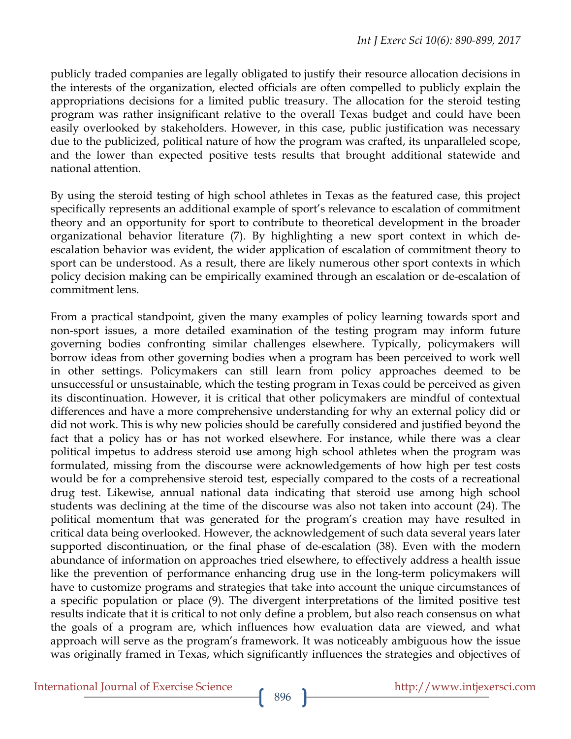publicly traded companies are legally obligated to justify their resource allocation decisions in the interests of the organization, elected officials are often compelled to publicly explain the appropriations decisions for a limited public treasury. The allocation for the steroid testing program was rather insignificant relative to the overall Texas budget and could have been easily overlooked by stakeholders. However, in this case, public justification was necessary due to the publicized, political nature of how the program was crafted, its unparalleled scope, and the lower than expected positive tests results that brought additional statewide and national attention.

By using the steroid testing of high school athletes in Texas as the featured case, this project specifically represents an additional example of sport's relevance to escalation of commitment theory and an opportunity for sport to contribute to theoretical development in the broader organizational behavior literature (7). By highlighting a new sport context in which deescalation behavior was evident, the wider application of escalation of commitment theory to sport can be understood. As a result, there are likely numerous other sport contexts in which policy decision making can be empirically examined through an escalation or de-escalation of commitment lens.

From a practical standpoint, given the many examples of policy learning towards sport and non-sport issues, a more detailed examination of the testing program may inform future governing bodies confronting similar challenges elsewhere. Typically, policymakers will borrow ideas from other governing bodies when a program has been perceived to work well in other settings. Policymakers can still learn from policy approaches deemed to be unsuccessful or unsustainable, which the testing program in Texas could be perceived as given its discontinuation. However, it is critical that other policymakers are mindful of contextual differences and have a more comprehensive understanding for why an external policy did or did not work. This is why new policies should be carefully considered and justified beyond the fact that a policy has or has not worked elsewhere. For instance, while there was a clear political impetus to address steroid use among high school athletes when the program was formulated, missing from the discourse were acknowledgements of how high per test costs would be for a comprehensive steroid test, especially compared to the costs of a recreational drug test. Likewise, annual national data indicating that steroid use among high school students was declining at the time of the discourse was also not taken into account (24). The political momentum that was generated for the program's creation may have resulted in critical data being overlooked. However, the acknowledgement of such data several years later supported discontinuation, or the final phase of de-escalation (38). Even with the modern abundance of information on approaches tried elsewhere, to effectively address a health issue like the prevention of performance enhancing drug use in the long-term policymakers will have to customize programs and strategies that take into account the unique circumstances of a specific population or place (9). The divergent interpretations of the limited positive test results indicate that it is critical to not only define a problem, but also reach consensus on what the goals of a program are, which influences how evaluation data are viewed, and what approach will serve as the program's framework. It was noticeably ambiguous how the issue was originally framed in Texas, which significantly influences the strategies and objectives of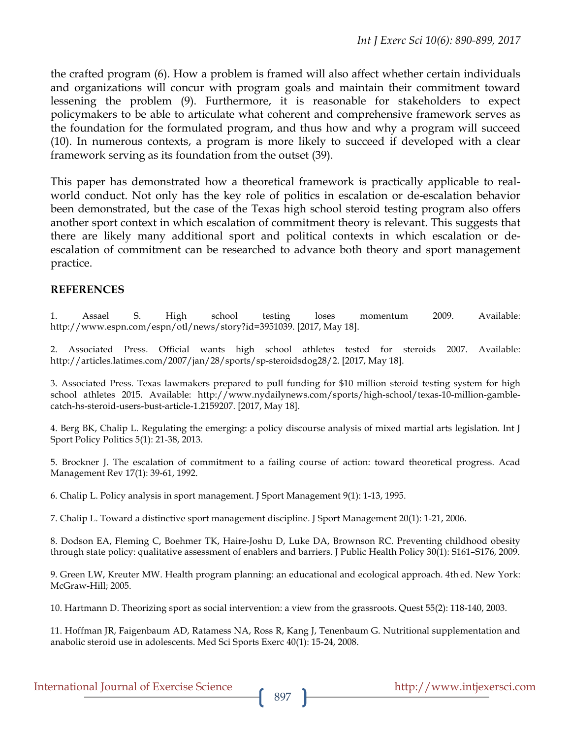the crafted program (6). How a problem is framed will also affect whether certain individuals and organizations will concur with program goals and maintain their commitment toward lessening the problem (9). Furthermore, it is reasonable for stakeholders to expect policymakers to be able to articulate what coherent and comprehensive framework serves as the foundation for the formulated program, and thus how and why a program will succeed (10). In numerous contexts, a program is more likely to succeed if developed with a clear framework serving as its foundation from the outset (39).

This paper has demonstrated how a theoretical framework is practically applicable to realworld conduct. Not only has the key role of politics in escalation or de-escalation behavior been demonstrated, but the case of the Texas high school steroid testing program also offers another sport context in which escalation of commitment theory is relevant. This suggests that there are likely many additional sport and political contexts in which escalation or deescalation of commitment can be researched to advance both theory and sport management practice.

### **REFERENCES**

1. Assael S. High school testing loses momentum 2009. Available: http://www.espn.com/espn/otl/news/story?id=3951039. [2017, May 18].

2. Associated Press. Official wants high school athletes tested for steroids 2007. Available: http://articles.latimes.com/2007/jan/28/sports/sp-steroidsdog28/2. [2017, May 18].

3. Associated Press. Texas lawmakers prepared to pull funding for \$10 million steroid testing system for high school athletes 2015. Available: http://www.nydailynews.com/sports/high-school/texas-10-million-gamblecatch-hs-steroid-users-bust-article-1.2159207. [2017, May 18].

4. Berg BK, Chalip L. Regulating the emerging: a policy discourse analysis of mixed martial arts legislation. Int J Sport Policy Politics 5(1): 21-38, 2013.

5. Brockner J. The escalation of commitment to a failing course of action: toward theoretical progress. Acad Management Rev 17(1): 39-61, 1992.

6. Chalip L. Policy analysis in sport management. J Sport Management 9(1): 1-13, 1995.

7. Chalip L. Toward a distinctive sport management discipline. J Sport Management 20(1): 1-21, 2006.

8. Dodson EA, Fleming C, Boehmer TK, Haire-Joshu D, Luke DA, Brownson RC. Preventing childhood obesity through state policy: qualitative assessment of enablers and barriers. J Public Health Policy 30(1): S161–S176, 2009.

9. Green LW, Kreuter MW. Health program planning: an educational and ecological approach. 4th ed. New York: McGraw-Hill; 2005.

10. Hartmann D. Theorizing sport as social intervention: a view from the grassroots. Quest 55(2): 118-140, 2003.

11. Hoffman JR, Faigenbaum AD, Ratamess NA, Ross R, Kang J, Tenenbaum G. Nutritional supplementation and anabolic steroid use in adolescents. Med Sci Sports Exerc 40(1): 15-24, 2008.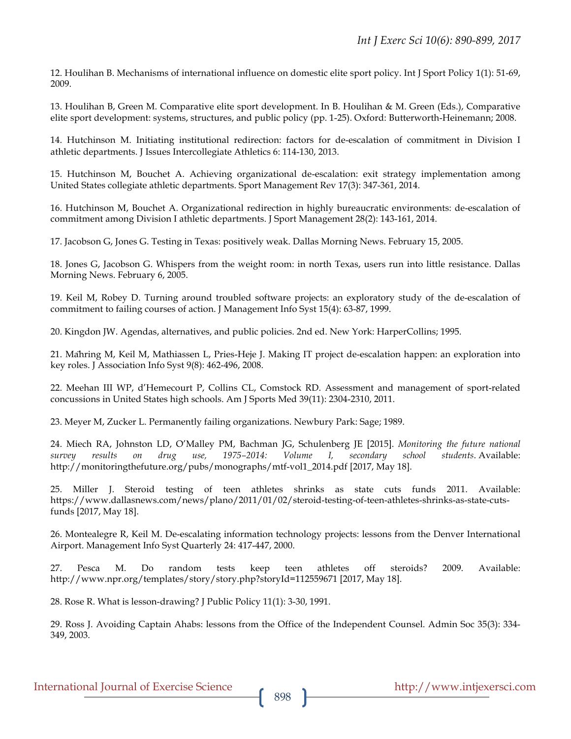12. Houlihan B. Mechanisms of international influence on domestic elite sport policy. Int J Sport Policy 1(1): 51-69, 2009.

13. Houlihan B, Green M. Comparative elite sport development. In B. Houlihan & M. Green (Eds.), Comparative elite sport development: systems, structures, and public policy (pp. 1-25). Oxford: Butterworth-Heinemann; 2008.

14. Hutchinson M. Initiating institutional redirection: factors for de-escalation of commitment in Division I athletic departments. J Issues Intercollegiate Athletics 6: 114-130, 2013.

15. Hutchinson M, Bouchet A. Achieving organizational de-escalation: exit strategy implementation among United States collegiate athletic departments. Sport Management Rev 17(3): 347-361, 2014.

16. Hutchinson M, Bouchet A. Organizational redirection in highly bureaucratic environments: de-escalation of commitment among Division I athletic departments. J Sport Management 28(2): 143-161, 2014.

17. Jacobson G, Jones G. Testing in Texas: positively weak. Dallas Morning News. February 15, 2005.

18. Jones G, Jacobson G. Whispers from the weight room: in north Texas, users run into little resistance. Dallas Morning News. February 6, 2005.

19. Keil M, Robey D. Turning around troubled software projects: an exploratory study of the de-escalation of commitment to failing courses of action. J Management Info Syst 15(4): 63-87, 1999.

20. Kingdon JW. Agendas, alternatives, and public policies. 2nd ed. New York: HarperCollins; 1995.

21. Mähring M, Keil M, Mathiassen L, Pries-Heje J. Making IT project de-escalation happen: an exploration into key roles. J Association Info Syst 9(8): 462-496, 2008.

22. Meehan III WP, d'Hemecourt P, Collins CL, Comstock RD. Assessment and management of sport-related concussions in United States high schools. Am J Sports Med 39(11): 2304-2310, 2011.

23. Meyer M, Zucker L. Permanently failing organizations. Newbury Park: Sage; 1989.

24. Miech RA, Johnston LD, O'Malley PM, Bachman JG, Schulenberg JE [2015]. *Monitoring the future national survey results on drug use, 1975–2014: Volume I, secondary school students*. Available: http://monitoringthefuture.org/pubs/monographs/mtf-vol1\_2014.pdf [2017, May 18].

25. Miller J. Steroid testing of teen athletes shrinks as state cuts funds 2011. Available: https://www.dallasnews.com/news/plano/2011/01/02/steroid-testing-of-teen-athletes-shrinks-as-state-cutsfunds [2017, May 18].

26. Montealegre R, Keil M. De-escalating information technology projects: lessons from the Denver International Airport. Management Info Syst Quarterly 24: 417-447, 2000.

27. Pesca M. Do random tests keep teen athletes off steroids? 2009. Available: http://www.npr.org/templates/story/story.php?storyId=112559671 [2017, May 18].

28. Rose R. What is lesson-drawing? J Public Policy 11(1): 3-30, 1991.

29. Ross J. Avoiding Captain Ahabs: lessons from the Office of the Independent Counsel. Admin Soc 35(3): 334- 349, 2003.